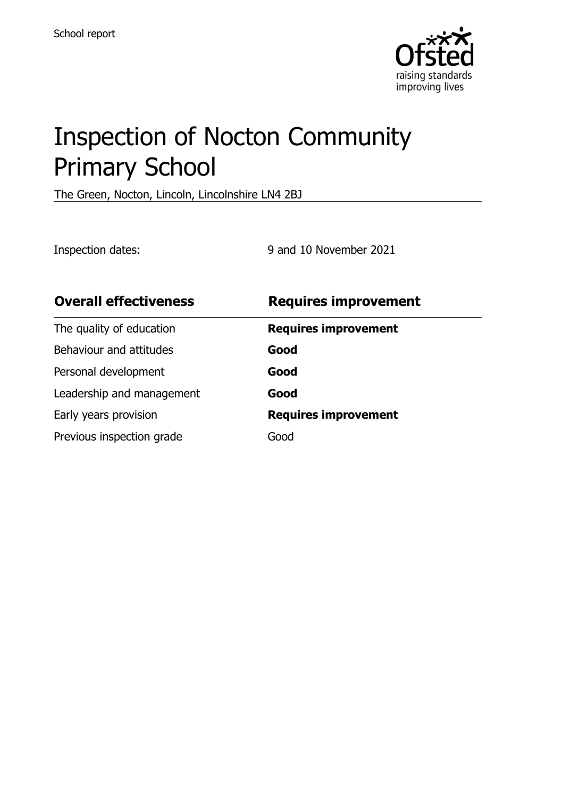

# Inspection of Nocton Community Primary School

The Green, Nocton, Lincoln, Lincolnshire LN4 2BJ

Inspection dates: 9 and 10 November 2021

| <b>Overall effectiveness</b> | <b>Requires improvement</b> |
|------------------------------|-----------------------------|
| The quality of education     | <b>Requires improvement</b> |
| Behaviour and attitudes      | Good                        |
| Personal development         | Good                        |
| Leadership and management    | Good                        |
| Early years provision        | <b>Requires improvement</b> |
| Previous inspection grade    | Good                        |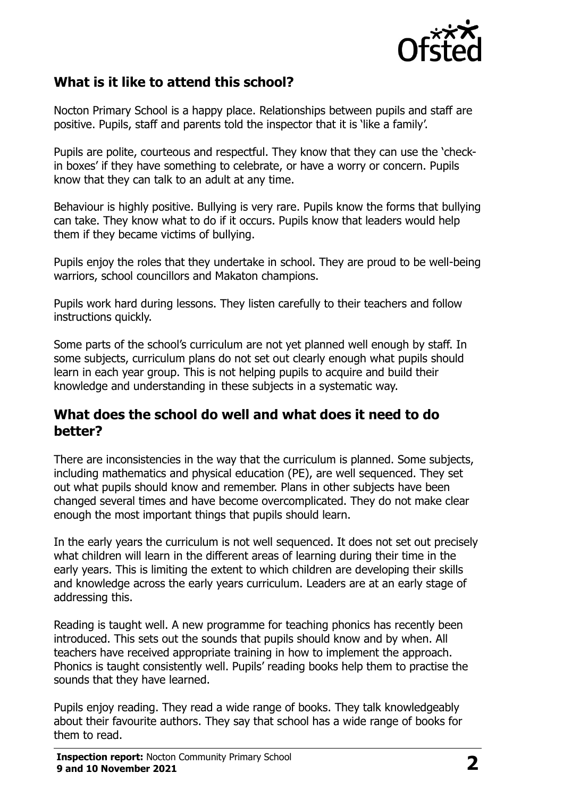

## **What is it like to attend this school?**

Nocton Primary School is a happy place. Relationships between pupils and staff are positive. Pupils, staff and parents told the inspector that it is 'like a family'.

Pupils are polite, courteous and respectful. They know that they can use the 'checkin boxes' if they have something to celebrate, or have a worry or concern. Pupils know that they can talk to an adult at any time.

Behaviour is highly positive. Bullying is very rare. Pupils know the forms that bullying can take. They know what to do if it occurs. Pupils know that leaders would help them if they became victims of bullying.

Pupils enjoy the roles that they undertake in school. They are proud to be well-being warriors, school councillors and Makaton champions.

Pupils work hard during lessons. They listen carefully to their teachers and follow instructions quickly.

Some parts of the school's curriculum are not yet planned well enough by staff. In some subjects, curriculum plans do not set out clearly enough what pupils should learn in each year group. This is not helping pupils to acquire and build their knowledge and understanding in these subjects in a systematic way.

#### **What does the school do well and what does it need to do better?**

There are inconsistencies in the way that the curriculum is planned. Some subjects, including mathematics and physical education (PE), are well sequenced. They set out what pupils should know and remember. Plans in other subjects have been changed several times and have become overcomplicated. They do not make clear enough the most important things that pupils should learn.

In the early years the curriculum is not well sequenced. It does not set out precisely what children will learn in the different areas of learning during their time in the early years. This is limiting the extent to which children are developing their skills and knowledge across the early years curriculum. Leaders are at an early stage of addressing this.

Reading is taught well. A new programme for teaching phonics has recently been introduced. This sets out the sounds that pupils should know and by when. All teachers have received appropriate training in how to implement the approach. Phonics is taught consistently well. Pupils' reading books help them to practise the sounds that they have learned.

Pupils enjoy reading. They read a wide range of books. They talk knowledgeably about their favourite authors. They say that school has a wide range of books for them to read.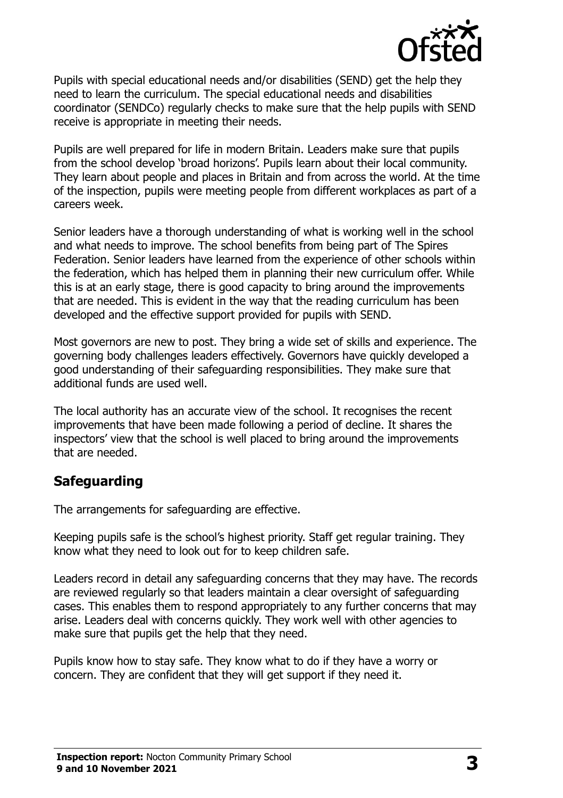

Pupils with special educational needs and/or disabilities (SEND) get the help they need to learn the curriculum. The special educational needs and disabilities coordinator (SENDCo) regularly checks to make sure that the help pupils with SEND receive is appropriate in meeting their needs.

Pupils are well prepared for life in modern Britain. Leaders make sure that pupils from the school develop 'broad horizons'. Pupils learn about their local community. They learn about people and places in Britain and from across the world. At the time of the inspection, pupils were meeting people from different workplaces as part of a careers week.

Senior leaders have a thorough understanding of what is working well in the school and what needs to improve. The school benefits from being part of The Spires Federation. Senior leaders have learned from the experience of other schools within the federation, which has helped them in planning their new curriculum offer. While this is at an early stage, there is good capacity to bring around the improvements that are needed. This is evident in the way that the reading curriculum has been developed and the effective support provided for pupils with SEND.

Most governors are new to post. They bring a wide set of skills and experience. The governing body challenges leaders effectively. Governors have quickly developed a good understanding of their safeguarding responsibilities. They make sure that additional funds are used well.

The local authority has an accurate view of the school. It recognises the recent improvements that have been made following a period of decline. It shares the inspectors' view that the school is well placed to bring around the improvements that are needed.

# **Safeguarding**

The arrangements for safeguarding are effective.

Keeping pupils safe is the school's highest priority. Staff get regular training. They know what they need to look out for to keep children safe.

Leaders record in detail any safeguarding concerns that they may have. The records are reviewed regularly so that leaders maintain a clear oversight of safeguarding cases. This enables them to respond appropriately to any further concerns that may arise. Leaders deal with concerns quickly. They work well with other agencies to make sure that pupils get the help that they need.

Pupils know how to stay safe. They know what to do if they have a worry or concern. They are confident that they will get support if they need it.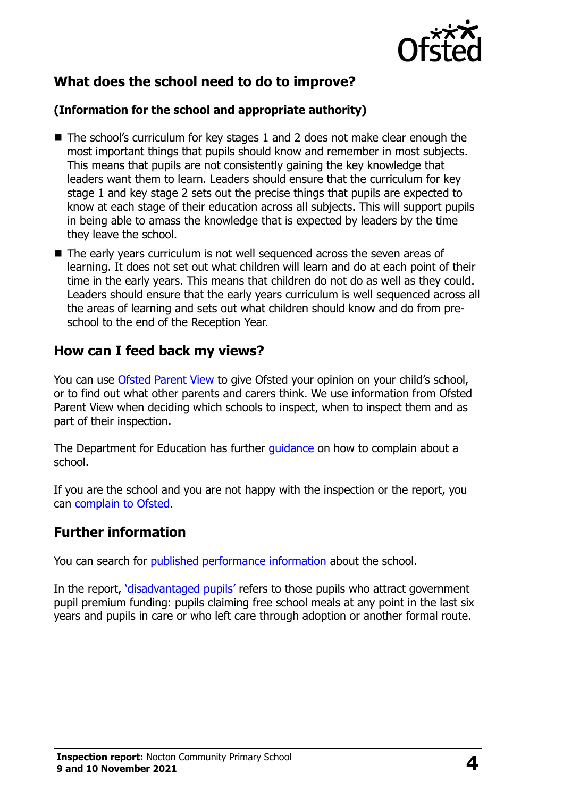

# **What does the school need to do to improve?**

#### **(Information for the school and appropriate authority)**

- The school's curriculum for key stages 1 and 2 does not make clear enough the most important things that pupils should know and remember in most subjects. This means that pupils are not consistently gaining the key knowledge that leaders want them to learn. Leaders should ensure that the curriculum for key stage 1 and key stage 2 sets out the precise things that pupils are expected to know at each stage of their education across all subjects. This will support pupils in being able to amass the knowledge that is expected by leaders by the time they leave the school.
- The early years curriculum is not well sequenced across the seven areas of learning. It does not set out what children will learn and do at each point of their time in the early years. This means that children do not do as well as they could. Leaders should ensure that the early years curriculum is well sequenced across all the areas of learning and sets out what children should know and do from preschool to the end of the Reception Year.

## **How can I feed back my views?**

You can use [Ofsted Parent View](http://parentview.ofsted.gov.uk/) to give Ofsted your opinion on your child's school, or to find out what other parents and carers think. We use information from Ofsted Parent View when deciding which schools to inspect, when to inspect them and as part of their inspection.

The Department for Education has further quidance on how to complain about a school.

If you are the school and you are not happy with the inspection or the report, you can [complain to Ofsted.](http://www.gov.uk/complain-ofsted-report)

## **Further information**

You can search for [published performance information](http://www.compare-school-performance.service.gov.uk/) about the school.

In the report, '[disadvantaged pupils](http://www.gov.uk/guidance/pupil-premium-information-for-schools-and-alternative-provision-settings)' refers to those pupils who attract government pupil premium funding: pupils claiming free school meals at any point in the last six years and pupils in care or who left care through adoption or another formal route.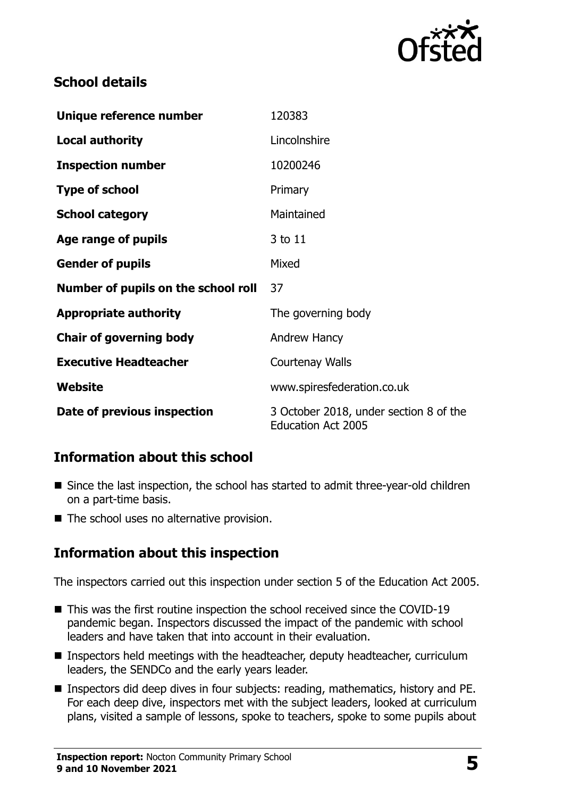

# **School details**

| Unique reference number             | 120383                                                              |
|-------------------------------------|---------------------------------------------------------------------|
| <b>Local authority</b>              | Lincolnshire                                                        |
| <b>Inspection number</b>            | 10200246                                                            |
| <b>Type of school</b>               | Primary                                                             |
| <b>School category</b>              | Maintained                                                          |
| Age range of pupils                 | 3 to 11                                                             |
| <b>Gender of pupils</b>             | Mixed                                                               |
| Number of pupils on the school roll | 37                                                                  |
| <b>Appropriate authority</b>        | The governing body                                                  |
| <b>Chair of governing body</b>      | Andrew Hancy                                                        |
| <b>Executive Headteacher</b>        | Courtenay Walls                                                     |
| Website                             | www.spiresfederation.co.uk                                          |
| Date of previous inspection         | 3 October 2018, under section 8 of the<br><b>Education Act 2005</b> |

# **Information about this school**

- Since the last inspection, the school has started to admit three-year-old children on a part-time basis.
- The school uses no alternative provision.

# **Information about this inspection**

The inspectors carried out this inspection under section 5 of the Education Act 2005.

- This was the first routine inspection the school received since the COVID-19 pandemic began. Inspectors discussed the impact of the pandemic with school leaders and have taken that into account in their evaluation.
- **Inspectors held meetings with the headteacher, deputy headteacher, curriculum** leaders, the SENDCo and the early years leader.
- Inspectors did deep dives in four subjects: reading, mathematics, history and PE. For each deep dive, inspectors met with the subject leaders, looked at curriculum plans, visited a sample of lessons, spoke to teachers, spoke to some pupils about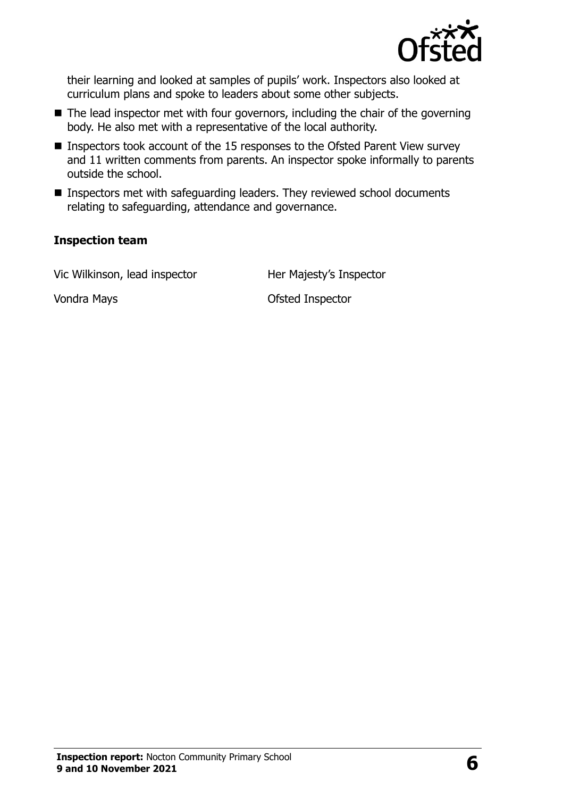

their learning and looked at samples of pupils' work. Inspectors also looked at curriculum plans and spoke to leaders about some other subjects.

- $\blacksquare$  The lead inspector met with four governors, including the chair of the governing body. He also met with a representative of the local authority.
- Inspectors took account of the 15 responses to the Ofsted Parent View survey and 11 written comments from parents. An inspector spoke informally to parents outside the school.
- **Inspectors met with safeguarding leaders. They reviewed school documents** relating to safeguarding, attendance and governance.

#### **Inspection team**

Vic Wilkinson, lead inspector **Her Majesty's Inspector** 

Vondra Mays **Vondra Mays Vondra Mays Ofsted Inspector**